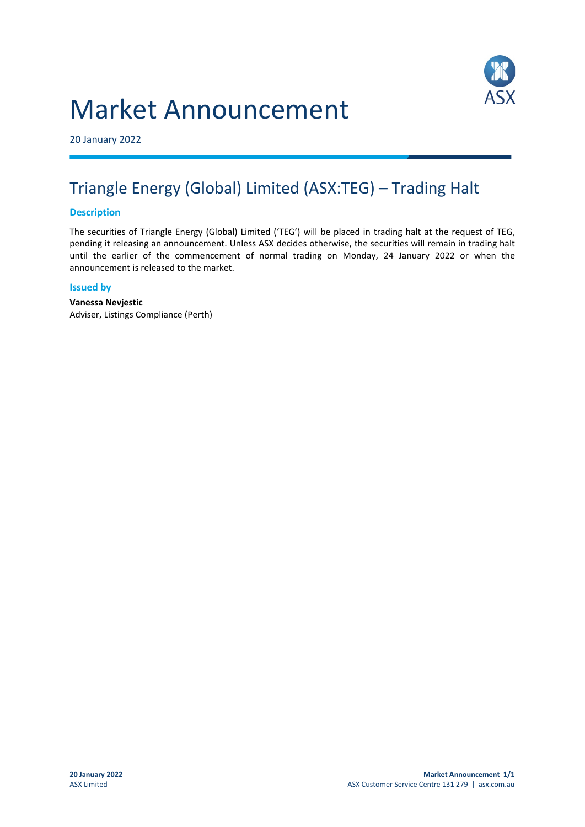# Market Announcement



20 January 2022

# Triangle Energy (Global) Limited (ASX:TEG) – Trading Halt

### **Description**

The securities of Triangle Energy (Global) Limited ('TEG') will be placed in trading halt at the request of TEG, pending it releasing an announcement. Unless ASX decides otherwise, the securities will remain in trading halt until the earlier of the commencement of normal trading on Monday, 24 January 2022 or when the announcement is released to the market.

#### **Issued by**

**Vanessa Nevjestic** Adviser, Listings Compliance (Perth)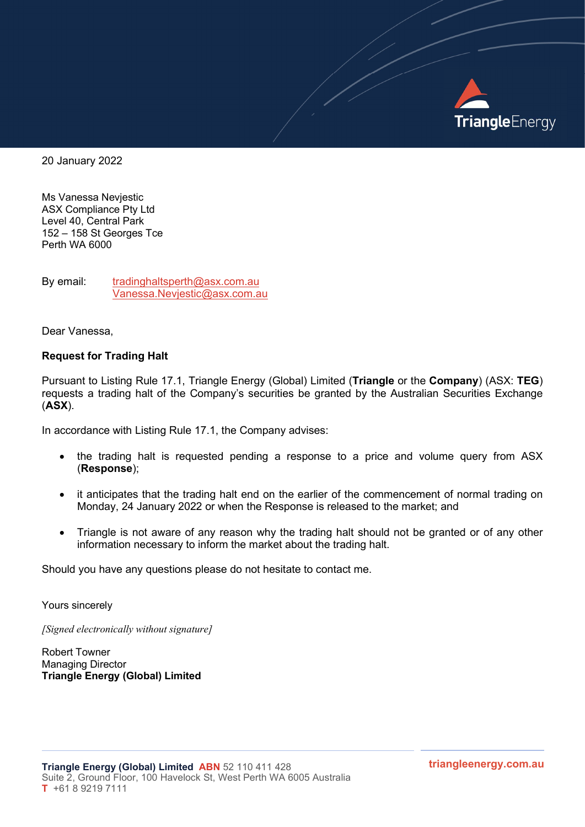

20 January 2022

Ms Vanessa Nevjestic ASX Compliance Pty Ltd Level 40, Central Park 152 – 158 St Georges Tce Perth WA 6000

By email: tradinghaltsperth@asx.com.au Vanessa.Nevjestic@asx.com.au

Dear Vanessa,

#### Request for Trading Halt

Pursuant to Listing Rule 17.1, Triangle Energy (Global) Limited (Triangle or the Company) (ASX: TEG) requests a trading halt of the Company's securities be granted by the Australian Securities Exchange (ASX).

In accordance with Listing Rule 17.1, the Company advises:

- the trading halt is requested pending a response to a price and volume query from ASX (Response);
- it anticipates that the trading halt end on the earlier of the commencement of normal trading on Monday, 24 January 2022 or when the Response is released to the market; and
- Triangle is not aware of any reason why the trading halt should not be granted or of any other information necessary to inform the market about the trading halt.

Should you have any questions please do not hesitate to contact me.

Yours sincerely

[Signed electronically without signature]

Robert Towner Managing Director Triangle Energy (Global) Limited